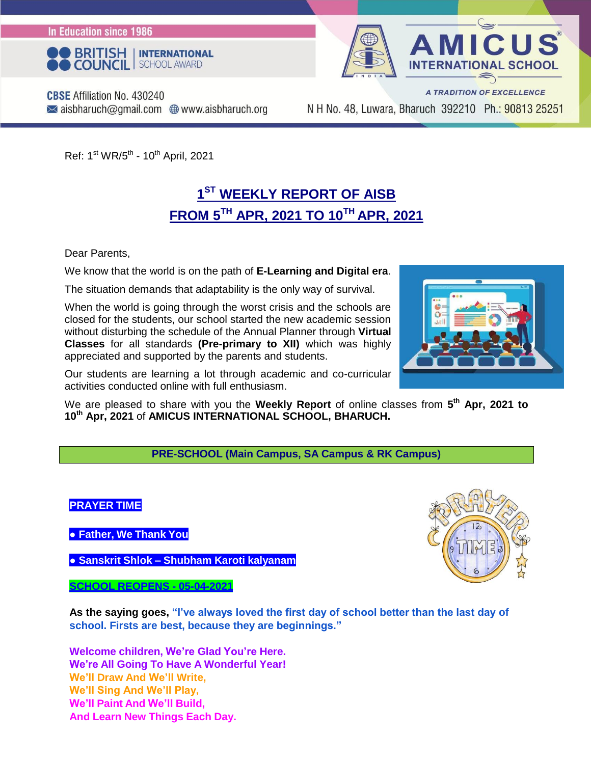In Education since 1986





**CBSE** Affiliation No. 430240  $\blacktriangleright$  aisbharuch@gmail.com  $\bigoplus$  www.aisbharuch.org

A TRADITION OF EXCELLENCE N H No. 48, Luwara, Bharuch 392210 Ph.: 90813 25251

Ref: 1<sup>st</sup> WR/5<sup>th</sup> - 10<sup>th</sup> April, 2021

### **1 ST WEEKLY REPORT OF AISB FROM 5TH APR, 2021 TO 10TH APR, 2021**

Dear Parents,

We know that the world is on the path of **E-Learning and Digital era**.

The situation demands that adaptability is the only way of survival.

When the world is going through the worst crisis and the schools are closed for the students, our school started the new academic session without disturbing the schedule of the Annual Planner through **Virtual Classes** for all standards **(Pre-primary to XII)** which was highly appreciated and supported by the parents and students.

Our students are learning a lot through academic and co-curricular activities conducted online with full enthusiasm.

We are pleased to share with you the Weekly Report of online classes from 5<sup>th</sup> Apr, 2021 to **10th Apr, 2021** of **AMICUS INTERNATIONAL SCHOOL, BHARUCH.**

**PRE-SCHOOL (Main Campus, SA Campus & RK Campus)**



**● Father, We Thank You**

**● Sanskrit Shlok – Shubham Karoti kalyanam**

**SCHOOL REOPENS - 05-04-2021**

**As the saying goes, "I've always loved the first day of school better than the last day of school. Firsts are best, because they are beginnings."**

**Welcome children, We're Glad You're Here. We're All Going To Have A Wonderful Year! We'll Draw And We'll Write, We'll Sing And We'll Play, We'll Paint And We'll Build, And Learn New Things Each Day.**



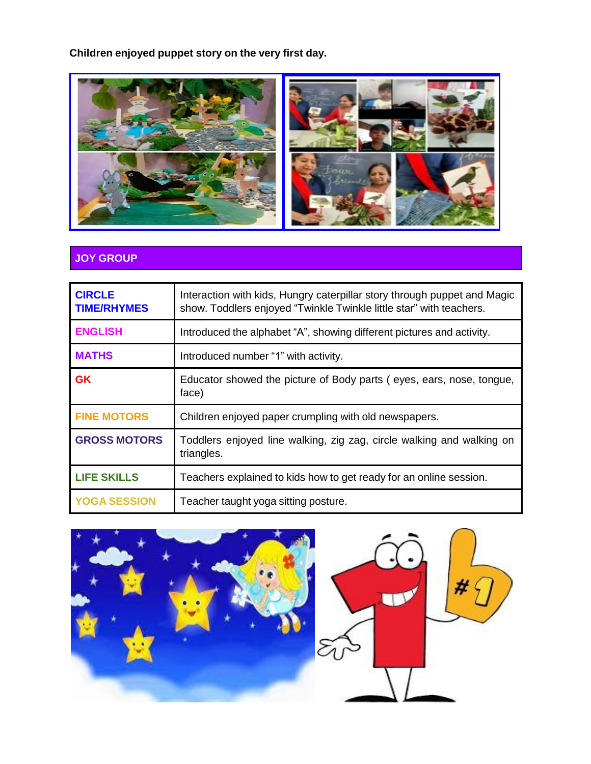**Children enjoyed puppet story on the very first day.**



#### **JOY GROUP**

| <b>CIRCLE</b><br><b>TIME/RHYMES</b> | Interaction with kids, Hungry caterpillar story through puppet and Magic<br>show. Toddlers enjoyed "Twinkle Twinkle little star" with teachers. |
|-------------------------------------|-------------------------------------------------------------------------------------------------------------------------------------------------|
| <b>ENGLISH</b>                      | Introduced the alphabet "A", showing different pictures and activity.                                                                           |
| <b>MATHS</b>                        | Introduced number "1" with activity.                                                                                                            |
| <b>GK</b>                           | Educator showed the picture of Body parts (eyes, ears, nose, tongue,<br>face)                                                                   |
| <b>FINE MOTORS</b>                  | Children enjoyed paper crumpling with old newspapers.                                                                                           |
| <b>GROSS MOTORS</b>                 | Toddlers enjoyed line walking, zig zag, circle walking and walking on<br>triangles.                                                             |
| <b>LIFE SKILLS</b>                  | Teachers explained to kids how to get ready for an online session.                                                                              |
| <b>YOGA SESSION</b>                 | Teacher taught yoga sitting posture.                                                                                                            |



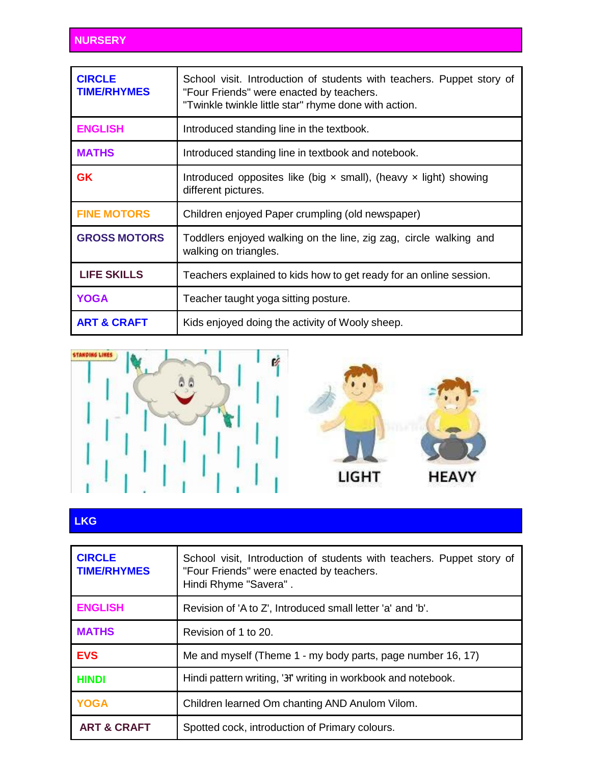| <b>CIRCLE</b><br><b>TIME/RHYMES</b> | School visit. Introduction of students with teachers. Puppet story of<br>"Four Friends" were enacted by teachers.<br>"Twinkle twinkle little star" rhyme done with action. |
|-------------------------------------|----------------------------------------------------------------------------------------------------------------------------------------------------------------------------|
| <b>ENGLISH</b>                      | Introduced standing line in the textbook.                                                                                                                                  |
| <b>MATHS</b>                        | Introduced standing line in textbook and notebook.                                                                                                                         |
| <b>GK</b>                           | Introduced opposites like (big $\times$ small), (heavy $\times$ light) showing<br>different pictures.                                                                      |
| <b>FINE MOTORS</b>                  | Children enjoyed Paper crumpling (old newspaper)                                                                                                                           |
| <b>GROSS MOTORS</b>                 | Toddlers enjoyed walking on the line, zig zag, circle walking and<br>walking on triangles.                                                                                 |
| <b>LIFE SKILLS</b>                  | Teachers explained to kids how to get ready for an online session.                                                                                                         |
| <b>YOGA</b>                         | Teacher taught yoga sitting posture.                                                                                                                                       |
| <b>ART &amp; CRAFT</b>              | Kids enjoyed doing the activity of Wooly sheep.                                                                                                                            |



#### **LKG**

| <b>CIRCLE</b><br><b>TIME/RHYMES</b> | School visit, Introduction of students with teachers. Puppet story of<br>"Four Friends" were enacted by teachers.<br>Hindi Rhyme "Savera". |
|-------------------------------------|--------------------------------------------------------------------------------------------------------------------------------------------|
| <b>ENGLISH</b>                      | Revision of 'A to Z', Introduced small letter 'a' and 'b'.                                                                                 |
| <b>MATHS</b>                        | Revision of 1 to 20.                                                                                                                       |
| <b>EVS</b>                          | Me and myself (Theme 1 - my body parts, page number 16, 17)                                                                                |
| <b>HINDI</b>                        | Hindi pattern writing, '3" writing in workbook and notebook.                                                                               |
| <b>YOGA</b>                         | Children learned Om chanting AND Anulom Vilom.                                                                                             |
| <b>ART &amp; CRAFT</b>              | Spotted cock, introduction of Primary colours.                                                                                             |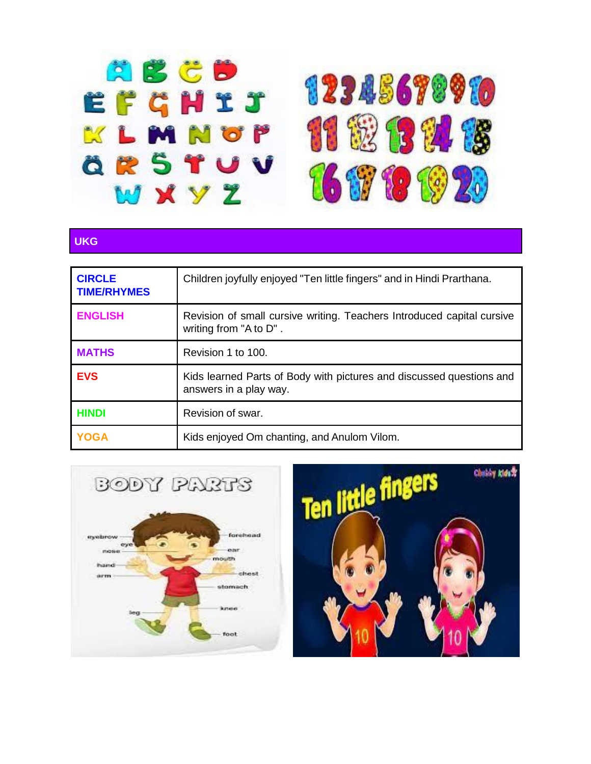

#### **UKG**

| <b>CIRCLE</b><br><b>TIME/RHYMES</b> | Children joyfully enjoyed "Ten little fingers" and in Hindi Prarthana.                           |
|-------------------------------------|--------------------------------------------------------------------------------------------------|
| <b>ENGLISH</b>                      | Revision of small cursive writing. Teachers Introduced capital cursive<br>writing from "A to D". |
| <b>MATHS</b>                        | Revision 1 to 100.                                                                               |
| <b>EVS</b>                          | Kids learned Parts of Body with pictures and discussed questions and<br>answers in a play way.   |
| <b>HINDI</b>                        | Revision of swar.                                                                                |
| <b>YOGA</b>                         | Kids enjoyed Om chanting, and Anulom Vilom.                                                      |



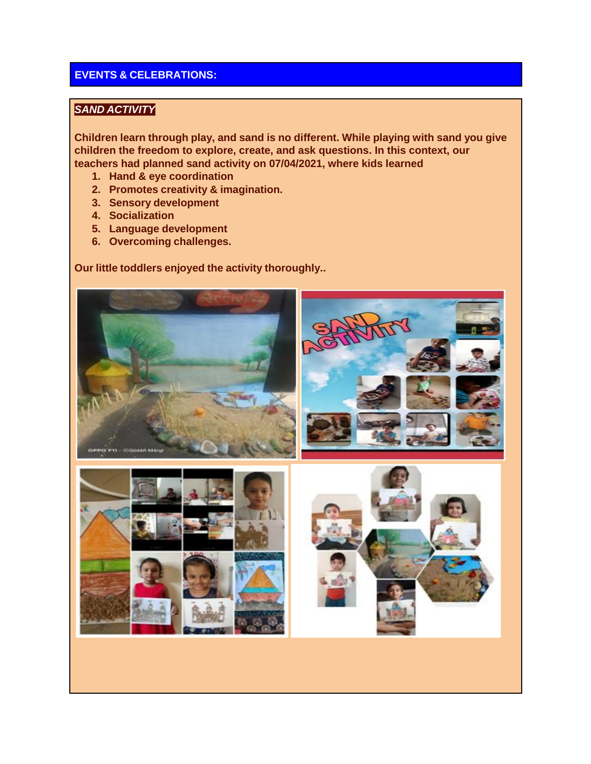#### **EVENTS & CELEBRATIONS:**

#### *SAND ACTIVITY*

**Children learn through play, and sand is no different. While playing with sand you give children the freedom to explore, create, and ask questions. In this context, our teachers had planned sand activity on 07/04/2021, where kids learned**

- **1. Hand & eye coordination**
- **2. Promotes creativity & imagination.**
- **3. Sensory development**
- **4. Socialization**
- **5. Language development**
- **6. Overcoming challenges.**

#### **Our little toddlers enjoyed the activity thoroughly..**

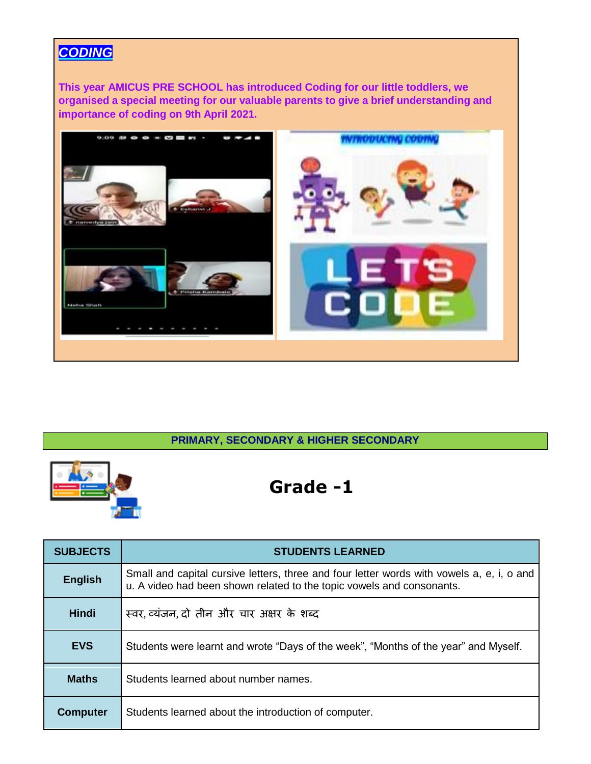### *CODING*

**This year AMICUS PRE SCHOOL has introduced Coding for our little toddlers, we organised a special meeting for our valuable parents to give a brief understanding and importance of coding on 9th April 2021.**



#### **PRIMARY, SECONDARY & HIGHER SECONDARY**



| <b>SUBJECTS</b> | <b>STUDENTS LEARNED</b>                                                                                                                                            |
|-----------------|--------------------------------------------------------------------------------------------------------------------------------------------------------------------|
| <b>English</b>  | Small and capital cursive letters, three and four letter words with vowels a, e, i, o and<br>u. A video had been shown related to the topic vowels and consonants. |
| <b>Hindi</b>    | स्वर, व्यंजन, दो तीन और चार अक्षर के शब्द                                                                                                                          |
| <b>EVS</b>      | Students were learnt and wrote "Days of the week", "Months of the year" and Myself.                                                                                |
| <b>Maths</b>    | Students learned about number names.                                                                                                                               |
| <b>Computer</b> | Students learned about the introduction of computer.                                                                                                               |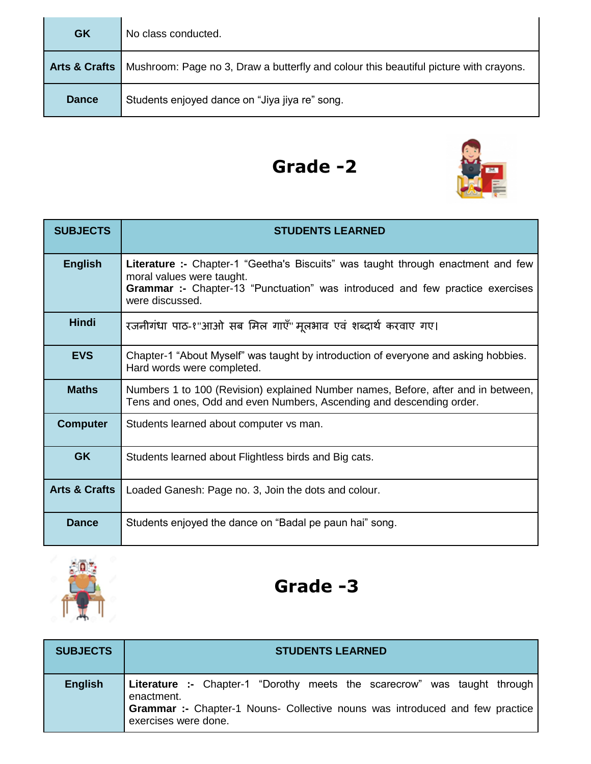| <b>GK</b>                | No class conducted.                                                                   |
|--------------------------|---------------------------------------------------------------------------------------|
| <b>Arts &amp; Crafts</b> | Mushroom: Page no 3, Draw a butterfly and colour this beautiful picture with crayons. |
| <b>Dance</b>             | Students enjoyed dance on "Jiya jiya re" song.                                        |



| <b>SUBJECTS</b>          | <b>STUDENTS LEARNED</b>                                                                                                                                                                                                  |
|--------------------------|--------------------------------------------------------------------------------------------------------------------------------------------------------------------------------------------------------------------------|
| <b>English</b>           | Literature :- Chapter-1 "Geetha's Biscuits" was taught through enactment and few<br>moral values were taught.<br><b>Grammar :-</b> Chapter-13 "Punctuation" was introduced and few practice exercises<br>were discussed. |
| <b>Hindi</b>             | रजनीगंधा पाठ-१"आओ सब मिल गाएँ" मूलभाव एवं शब्दार्थ करवाए गए।                                                                                                                                                             |
| <b>EVS</b>               | Chapter-1 "About Myself" was taught by introduction of everyone and asking hobbies.<br>Hard words were completed.                                                                                                        |
| <b>Maths</b>             | Numbers 1 to 100 (Revision) explained Number names, Before, after and in between,<br>Tens and ones, Odd and even Numbers, Ascending and descending order.                                                                |
| <b>Computer</b>          | Students learned about computer vs man.                                                                                                                                                                                  |
| <b>GK</b>                | Students learned about Flightless birds and Big cats.                                                                                                                                                                    |
| <b>Arts &amp; Crafts</b> | Loaded Ganesh: Page no. 3, Join the dots and colour.                                                                                                                                                                     |
| <b>Dance</b>             | Students enjoyed the dance on "Badal pe paun hai" song.                                                                                                                                                                  |



| <b>SUBJECTS</b> | <b>STUDENTS LEARNED</b>                                                                                                                                                                                      |
|-----------------|--------------------------------------------------------------------------------------------------------------------------------------------------------------------------------------------------------------|
| <b>English</b>  | <b>Literature :-</b> Chapter-1 "Dorothy meets the scarecrow" was taught through<br>enactment.<br><b>Grammar :-</b> Chapter-1 Nouns- Collective nouns was introduced and few practice<br>exercises were done. |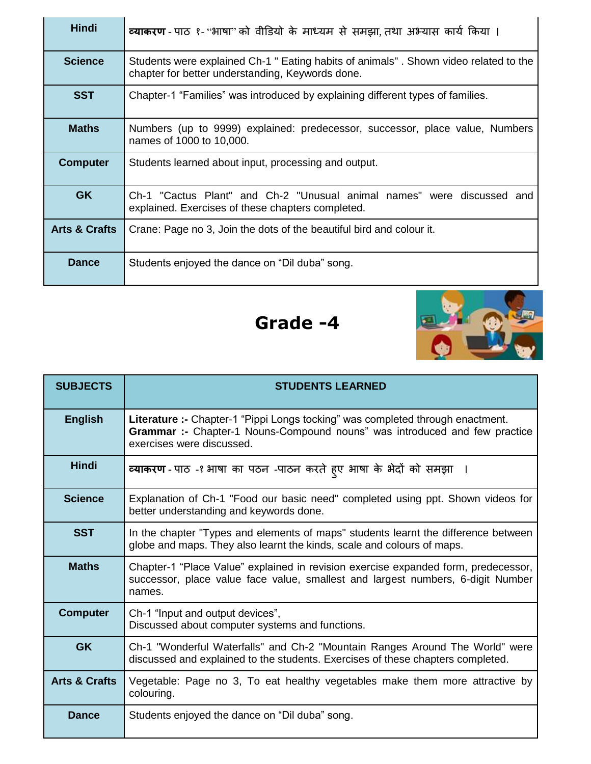| <b>Hindi</b>             | <b>व्याकरण</b> - पाठ १- "भाषा" को वीडियो के माध्यम से समझा, तथा अभ्यास कार्य किया ।                                                      |
|--------------------------|------------------------------------------------------------------------------------------------------------------------------------------|
| <b>Science</b>           | Students were explained Ch-1 " Eating habits of animals". Shown video related to the<br>chapter for better understanding, Keywords done. |
| <b>SST</b>               | Chapter-1 "Families" was introduced by explaining different types of families.                                                           |
| <b>Maths</b>             | Numbers (up to 9999) explained: predecessor, successor, place value, Numbers<br>names of 1000 to 10,000.                                 |
| <b>Computer</b>          | Students learned about input, processing and output.                                                                                     |
| <b>GK</b>                | Ch-1 "Cactus Plant" and Ch-2 "Unusual animal names" were discussed and<br>explained. Exercises of these chapters completed.              |
| <b>Arts &amp; Crafts</b> | Crane: Page no 3, Join the dots of the beautiful bird and colour it.                                                                     |
| <b>Dance</b>             | Students enjoyed the dance on "Dil duba" song.                                                                                           |



| <b>SUBJECTS</b>          | <b>STUDENTS LEARNED</b>                                                                                                                                                                   |
|--------------------------|-------------------------------------------------------------------------------------------------------------------------------------------------------------------------------------------|
| <b>English</b>           | Literature :- Chapter-1 "Pippi Longs tocking" was completed through enactment.<br>Grammar :- Chapter-1 Nouns-Compound nouns" was introduced and few practice<br>exercises were discussed. |
| <b>Hindi</b>             | व्याकरण - पाठ -१ भाषा का पठन -पाठन करते हुए भाषा के भेदों को समझा                                                                                                                         |
| <b>Science</b>           | Explanation of Ch-1 "Food our basic need" completed using ppt. Shown videos for<br>better understanding and keywords done.                                                                |
| <b>SST</b>               | In the chapter "Types and elements of maps" students learnt the difference between<br>globe and maps. They also learnt the kinds, scale and colours of maps.                              |
| <b>Maths</b>             | Chapter-1 "Place Value" explained in revision exercise expanded form, predecessor,<br>successor, place value face value, smallest and largest numbers, 6-digit Number<br>names.           |
| <b>Computer</b>          | Ch-1 "Input and output devices",<br>Discussed about computer systems and functions.                                                                                                       |
| <b>GK</b>                | Ch-1 "Wonderful Waterfalls" and Ch-2 "Mountain Ranges Around The World" were<br>discussed and explained to the students. Exercises of these chapters completed.                           |
| <b>Arts &amp; Crafts</b> | Vegetable: Page no 3, To eat healthy vegetables make them more attractive by<br>colouring.                                                                                                |
| <b>Dance</b>             | Students enjoyed the dance on "Dil duba" song.                                                                                                                                            |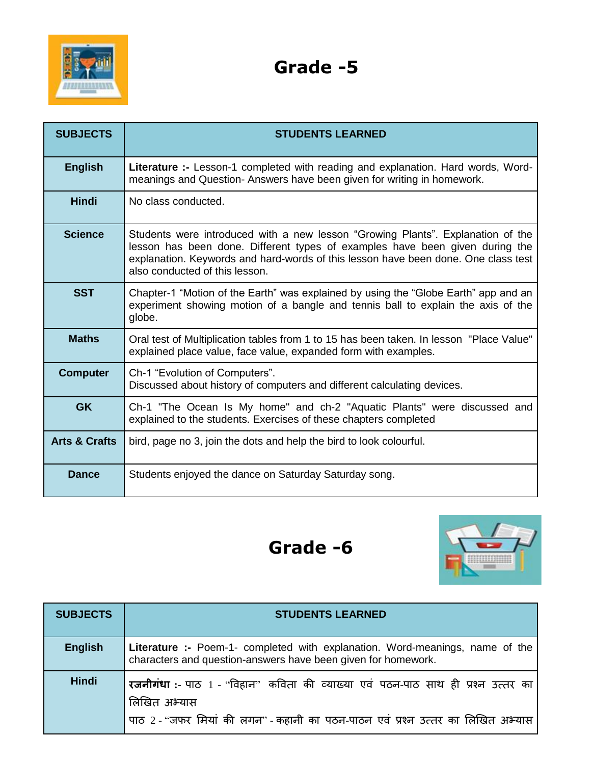

| <b>SUBJECTS</b>          | <b>STUDENTS LEARNED</b>                                                                                                                                                                                                                                                                 |
|--------------------------|-----------------------------------------------------------------------------------------------------------------------------------------------------------------------------------------------------------------------------------------------------------------------------------------|
| <b>English</b>           | <b>Literature :-</b> Lesson-1 completed with reading and explanation. Hard words, Word-<br>meanings and Question- Answers have been given for writing in homework.                                                                                                                      |
| <b>Hindi</b>             | No class conducted.                                                                                                                                                                                                                                                                     |
| <b>Science</b>           | Students were introduced with a new lesson "Growing Plants". Explanation of the<br>lesson has been done. Different types of examples have been given during the<br>explanation. Keywords and hard-words of this lesson have been done. One class test<br>also conducted of this lesson. |
| <b>SST</b>               | Chapter-1 "Motion of the Earth" was explained by using the "Globe Earth" app and an<br>experiment showing motion of a bangle and tennis ball to explain the axis of the<br>globe.                                                                                                       |
| <b>Maths</b>             | Oral test of Multiplication tables from 1 to 15 has been taken. In lesson "Place Value"<br>explained place value, face value, expanded form with examples.                                                                                                                              |
| <b>Computer</b>          | Ch-1 "Evolution of Computers".<br>Discussed about history of computers and different calculating devices.                                                                                                                                                                               |
| <b>GK</b>                | Ch-1 "The Ocean Is My home" and ch-2 "Aquatic Plants" were discussed and<br>explained to the students. Exercises of these chapters completed                                                                                                                                            |
| <b>Arts &amp; Crafts</b> | bird, page no 3, join the dots and help the bird to look colourful.                                                                                                                                                                                                                     |
| Dance                    | Students enjoyed the dance on Saturday Saturday song.                                                                                                                                                                                                                                   |



| <b>SUBJECTS</b> | <b>STUDENTS LEARNED</b>                                                                                                                                                                    |
|-----------------|--------------------------------------------------------------------------------------------------------------------------------------------------------------------------------------------|
| <b>English</b>  | <b>Literature :-</b> Poem-1- completed with explanation. Word-meanings, name of the<br>characters and question-answers have been given for homework.                                       |
| <b>Hindi</b>    | <b>रजनीगंधा</b> :- पाठ 1 - "विहान" कविता की व्याख्या एवं पठन-पाठ साथ ही प्रश्न उत्तर का<br>तिखित अभ्यास<br>पाठ 2 - "जफर मियां की लगन" - कहानी का पठन-पाठन एवं प्रश्न उत्तर का लिखित अभ्यास |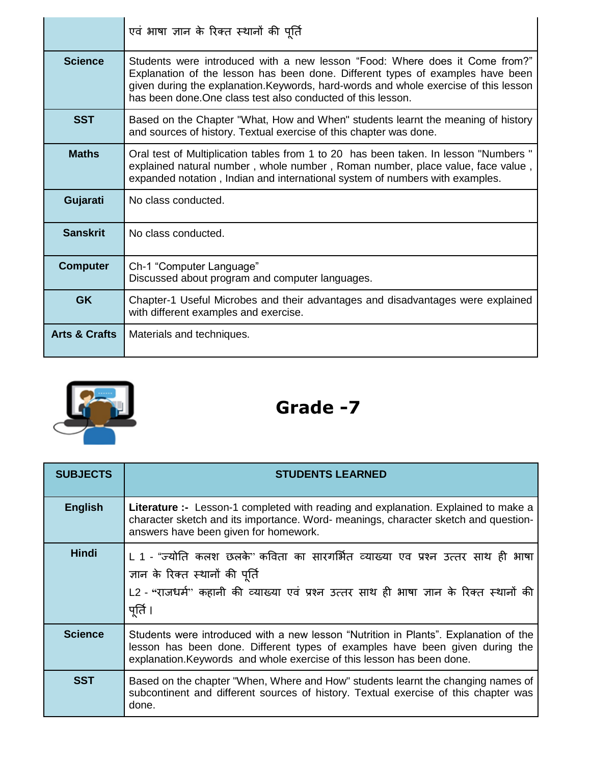|                          | एवं भाषा ज्ञान के रिक्त स्थानों की पूर्ति                                                                                                                                                                                                                                                                             |
|--------------------------|-----------------------------------------------------------------------------------------------------------------------------------------------------------------------------------------------------------------------------------------------------------------------------------------------------------------------|
| <b>Science</b>           | Students were introduced with a new lesson "Food: Where does it Come from?"<br>Explanation of the lesson has been done. Different types of examples have been<br>given during the explanation. Keywords, hard-words and whole exercise of this lesson<br>has been done. One class test also conducted of this lesson. |
| <b>SST</b>               | Based on the Chapter "What, How and When" students learnt the meaning of history<br>and sources of history. Textual exercise of this chapter was done.                                                                                                                                                                |
| <b>Maths</b>             | Oral test of Multiplication tables from 1 to 20 has been taken. In lesson "Numbers"<br>explained natural number, whole number, Roman number, place value, face value,<br>expanded notation, Indian and international system of numbers with examples.                                                                 |
| Gujarati                 | No class conducted.                                                                                                                                                                                                                                                                                                   |
| <b>Sanskrit</b>          | No class conducted.                                                                                                                                                                                                                                                                                                   |
| <b>Computer</b>          | Ch-1 "Computer Language"<br>Discussed about program and computer languages.                                                                                                                                                                                                                                           |
| <b>GK</b>                | Chapter-1 Useful Microbes and their advantages and disadvantages were explained<br>with different examples and exercise.                                                                                                                                                                                              |
| <b>Arts &amp; Crafts</b> | Materials and techniques.                                                                                                                                                                                                                                                                                             |



| <b>SUBJECTS</b> | <b>STUDENTS LEARNED</b>                                                                                                                                                                                                                        |
|-----------------|------------------------------------------------------------------------------------------------------------------------------------------------------------------------------------------------------------------------------------------------|
| <b>English</b>  | Literature :- Lesson-1 completed with reading and explanation. Explained to make a<br>character sketch and its importance. Word- meanings, character sketch and question-<br>answers have been given for homework.                             |
| <b>Hindi</b>    | L 1 - "ज्योति कलश छलके <sup></sup> ' कविता का सारगर्भित व्याख्या एव प्रश्न उत्तर साथ ही भाषा<br>ज्ञान के रिक्त स्थानों की पूर्ति<br>L2 - "राजधर्म" कहानी की व्याख्या एवं प्रश्न उत्तर साथ ही भाषा ज्ञान के रिक्त स्थानों की<br>पूर्ति ।        |
| <b>Science</b>  | Students were introduced with a new lesson "Nutrition in Plants". Explanation of the<br>lesson has been done. Different types of examples have been given during the<br>explanation. Keywords and whole exercise of this lesson has been done. |
| <b>SST</b>      | Based on the chapter "When, Where and How" students learnt the changing names of<br>subcontinent and different sources of history. Textual exercise of this chapter was<br>done.                                                               |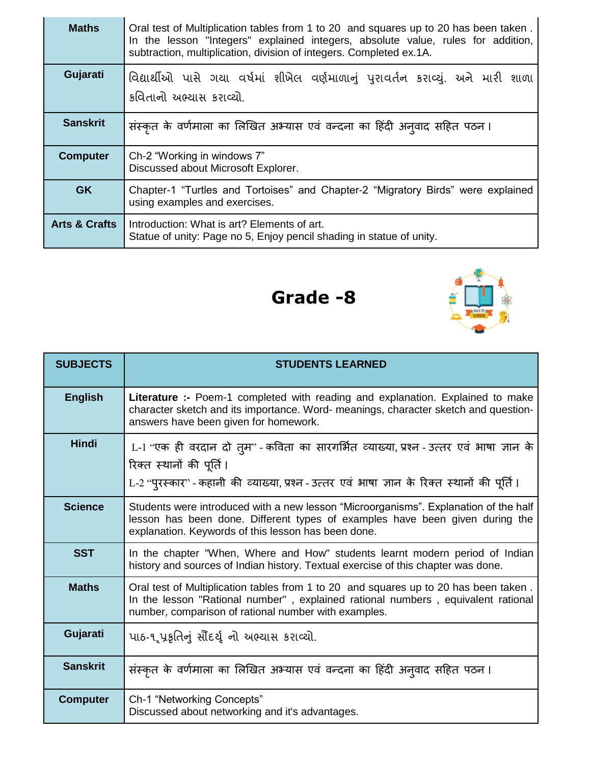| <b>Maths</b>             | Oral test of Multiplication tables from 1 to 20 and squares up to 20 has been taken.<br>In the lesson "Integers" explained integers, absolute value, rules for addition,<br>subtraction, multiplication, division of integers. Completed ex.1A. |
|--------------------------|-------------------------------------------------------------------------------------------------------------------------------------------------------------------------------------------------------------------------------------------------|
| Gujarati                 | વિદ્યાર્થીઓ પાસે ગયા વર્ષમાં શીખેલ વર્ણમાળાનું પુરાવર્તન કરાવ્યું. અને મારી શાળા<br>કવિતાનો અભ્યાસ કરાવ્યો.                                                                                                                                     |
| <b>Sanskrit</b>          | संस्कृत के वर्णमाला का लिखित अभ्यास एवं वन्दना का हिंदी अनुवाद सहित पठन।                                                                                                                                                                        |
| <b>Computer</b>          | Ch-2 "Working in windows 7"<br>Discussed about Microsoft Explorer.                                                                                                                                                                              |
| <b>GK</b>                | Chapter-1 "Turtles and Tortoises" and Chapter-2 "Migratory Birds" were explained<br>using examples and exercises.                                                                                                                               |
| <b>Arts &amp; Crafts</b> | Introduction: What is art? Elements of art.<br>Statue of unity: Page no 5, Enjoy pencil shading in statue of unity.                                                                                                                             |



| <b>SUBJECTS</b> | <b>STUDENTS LEARNED</b>                                                                                                                                                                                                          |
|-----------------|----------------------------------------------------------------------------------------------------------------------------------------------------------------------------------------------------------------------------------|
| <b>English</b>  | <b>Literature :-</b> Poem-1 completed with reading and explanation. Explained to make<br>character sketch and its importance. Word- meanings, character sketch and question-<br>answers have been given for homework.            |
| <b>Hindi</b>    | L-1 "एक ही वरदान दो त् <b>म</b> " - कविता का सारगर्भित व्याख्या, प्रश्न - उत्तर एवं भाषा ज्ञान के<br>रिक्त स्थानों की पूर्ति ।<br>L-2 "पुरस्कार" - कहानी की व्याख्या, प्रश्न - उत्तर एवं भाषा ज्ञान के रिक्त स्थानों की पूर्ति । |
| <b>Science</b>  | Students were introduced with a new lesson "Microorganisms". Explanation of the half<br>lesson has been done. Different types of examples have been given during the<br>explanation. Keywords of this lesson has been done.      |
| <b>SST</b>      | In the chapter "When, Where and How" students learnt modern period of Indian<br>history and sources of Indian history. Textual exercise of this chapter was done.                                                                |
| <b>Maths</b>    | Oral test of Multiplication tables from 1 to 20 and squares up to 20 has been taken.<br>In the lesson "Rational number", explained rational numbers, equivalent rational<br>number, comparison of rational number with examples. |
| Gujarati        | પાઠ-૧ૃપ્રકૃતિનું સૌંદર્યૄ નો અભ્યાસ કરાવ્યો.                                                                                                                                                                                     |
| <b>Sanskrit</b> | संस्कृत के वर्णमाला का लिखित अभ्यास एवं वन्दना का हिंदी अनुवाद सहित पठन।                                                                                                                                                         |
| <b>Computer</b> | Ch-1 "Networking Concepts"<br>Discussed about networking and it's advantages.                                                                                                                                                    |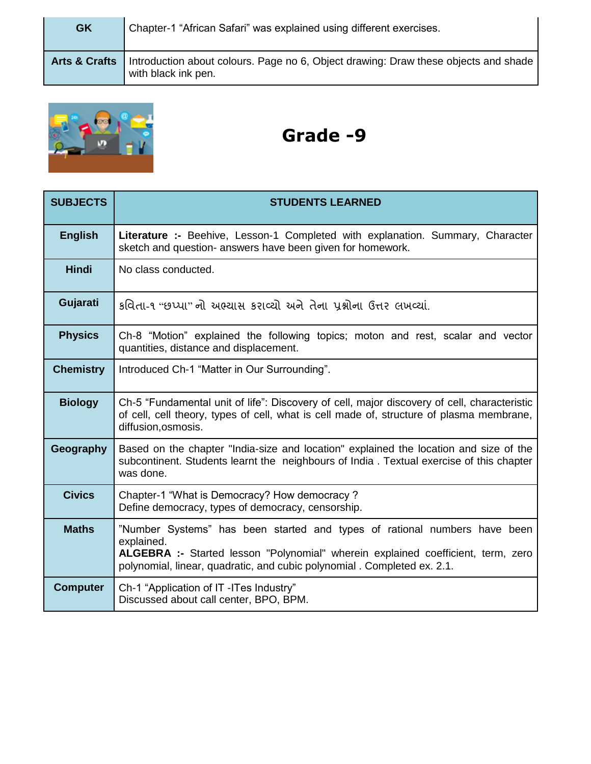| <b>GK</b>                | Chapter-1 "African Safari" was explained using different exercises.                                        |
|--------------------------|------------------------------------------------------------------------------------------------------------|
| <b>Arts &amp; Crafts</b> | Introduction about colours. Page no 6, Object drawing: Draw these objects and shade<br>with black ink pen. |



| <b>SUBJECTS</b>  | <b>STUDENTS LEARNED</b>                                                                                                                                                                                                                                 |
|------------------|---------------------------------------------------------------------------------------------------------------------------------------------------------------------------------------------------------------------------------------------------------|
| <b>English</b>   | Literature :- Beehive, Lesson-1 Completed with explanation. Summary, Character<br>sketch and question- answers have been given for homework.                                                                                                            |
| <b>Hindi</b>     | No class conducted.                                                                                                                                                                                                                                     |
| Gujarati         | કવિતા-૧ "છપ્પા" નો અભ્યાસ કરાવ્યો અને તેના પ્રશ્નોના ઉત્તર લખવ્યાં.                                                                                                                                                                                     |
| <b>Physics</b>   | Ch-8 "Motion" explained the following topics; moton and rest, scalar and vector<br>quantities, distance and displacement.                                                                                                                               |
| <b>Chemistry</b> | Introduced Ch-1 "Matter in Our Surrounding".                                                                                                                                                                                                            |
| <b>Biology</b>   | Ch-5 "Fundamental unit of life": Discovery of cell, major discovery of cell, characteristic<br>of cell, cell theory, types of cell, what is cell made of, structure of plasma membrane,<br>diffusion, osmosis.                                          |
| Geography        | Based on the chapter "India-size and location" explained the location and size of the<br>subcontinent. Students learnt the neighbours of India. Textual exercise of this chapter<br>was done.                                                           |
| <b>Civics</b>    | Chapter-1 "What is Democracy? How democracy?<br>Define democracy, types of democracy, censorship.                                                                                                                                                       |
| <b>Maths</b>     | "Number Systems" has been started and types of rational numbers have been<br>explained.<br>ALGEBRA :- Started lesson "Polynomial" wherein explained coefficient, term, zero<br>polynomial, linear, quadratic, and cubic polynomial . Completed ex. 2.1. |
| <b>Computer</b>  | Ch-1 "Application of IT -ITes Industry"<br>Discussed about call center, BPO, BPM.                                                                                                                                                                       |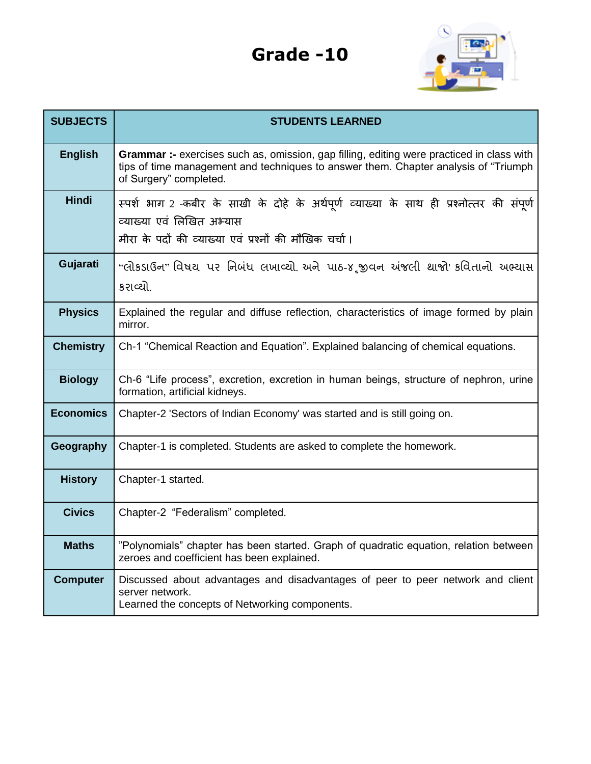

| <b>SUBJECTS</b>  | <b>STUDENTS LEARNED</b>                                                                                                                                                                                    |
|------------------|------------------------------------------------------------------------------------------------------------------------------------------------------------------------------------------------------------|
| <b>English</b>   | Grammar :- exercises such as, omission, gap filling, editing were practiced in class with<br>tips of time management and techniques to answer them. Chapter analysis of "Triumph<br>of Surgery" completed. |
| <b>Hindi</b>     | स्पर्श भाग 2 -कबीर के साखी के दोहे के अर्थपूर्ण व्याख्या के साथ ही प्रश्नोत्तर की संपूर्ण<br>व्याख्या एवं लिखित अभ्यास<br>मीरा के पदों की व्याख्या एवं प्रश्नों की मौखिक चर्चा।                            |
| Gujarati         | "લોકડાઉન" વિષય પર નિબંધ લખાવ્યો. અને પાઠ-૪,જીવન અંજલી થાજો' કવિતાનો અભ્યાસ<br>કરાવ્યો.                                                                                                                     |
| <b>Physics</b>   | Explained the regular and diffuse reflection, characteristics of image formed by plain<br>mirror.                                                                                                          |
| <b>Chemistry</b> | Ch-1 "Chemical Reaction and Equation". Explained balancing of chemical equations.                                                                                                                          |
| <b>Biology</b>   | Ch-6 "Life process", excretion, excretion in human beings, structure of nephron, urine<br>formation, artificial kidneys.                                                                                   |
| <b>Economics</b> | Chapter-2 'Sectors of Indian Economy' was started and is still going on.                                                                                                                                   |
| Geography        | Chapter-1 is completed. Students are asked to complete the homework.                                                                                                                                       |
| <b>History</b>   | Chapter-1 started.                                                                                                                                                                                         |
| <b>Civics</b>    | Chapter-2 "Federalism" completed.                                                                                                                                                                          |
| <b>Maths</b>     | "Polynomials" chapter has been started. Graph of quadratic equation, relation between<br>zeroes and coefficient has been explained.                                                                        |
| <b>Computer</b>  | Discussed about advantages and disadvantages of peer to peer network and client<br>server network.<br>Learned the concepts of Networking components.                                                       |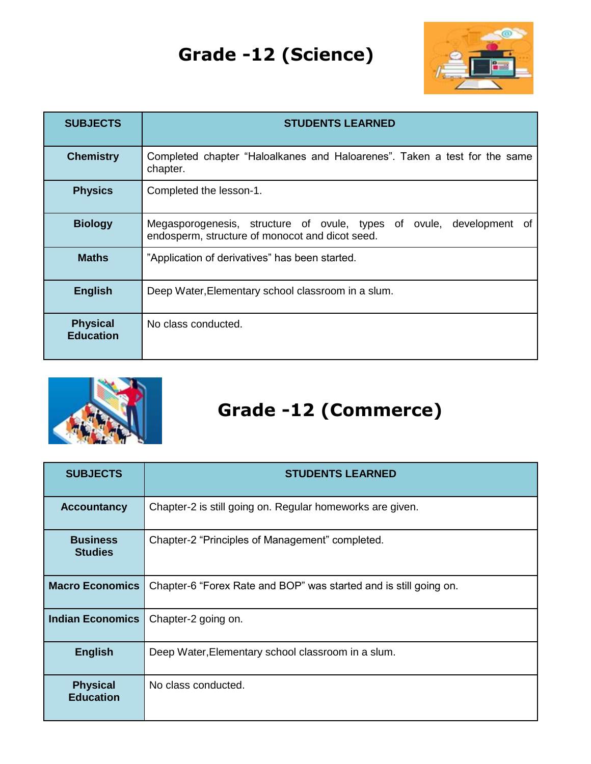# **Grade -12 (Science)**



| <b>SUBJECTS</b>                     | <b>STUDENTS LEARNED</b>                                                                                                 |
|-------------------------------------|-------------------------------------------------------------------------------------------------------------------------|
| <b>Chemistry</b>                    | Completed chapter "Haloalkanes and Haloarenes". Taken a test for the same<br>chapter.                                   |
| <b>Physics</b>                      | Completed the lesson-1.                                                                                                 |
| <b>Biology</b>                      | Megasporogenesis, structure of ovule, types of ovule, development of<br>endosperm, structure of monocot and dicot seed. |
| <b>Maths</b>                        | "Application of derivatives" has been started.                                                                          |
| <b>English</b>                      | Deep Water, Elementary school classroom in a slum.                                                                      |
| <b>Physical</b><br><b>Education</b> | No class conducted.                                                                                                     |



# **Grade -12 (Commerce)**

| <b>SUBJECTS</b>                     | <b>STUDENTS LEARNED</b>                                           |
|-------------------------------------|-------------------------------------------------------------------|
| <b>Accountancy</b>                  | Chapter-2 is still going on. Regular homeworks are given.         |
| <b>Business</b><br><b>Studies</b>   | Chapter-2 "Principles of Management" completed.                   |
| <b>Macro Economics</b>              | Chapter-6 "Forex Rate and BOP" was started and is still going on. |
| <b>Indian Economics</b>             | Chapter-2 going on.                                               |
| <b>English</b>                      | Deep Water, Elementary school classroom in a slum.                |
| <b>Physical</b><br><b>Education</b> | No class conducted.                                               |